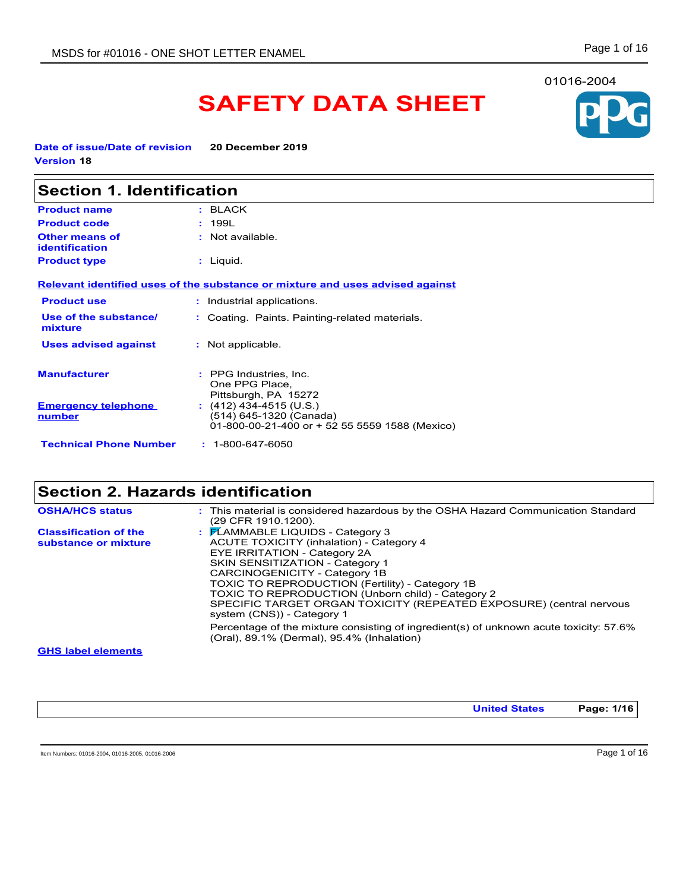# **SAFETY DATA SHEET**

**Date of issue/Date of revision 20 December 2019 Version 18**

| <b>Section 1. Identification</b>        |                                                                                                      |
|-----------------------------------------|------------------------------------------------------------------------------------------------------|
| <b>Product name</b>                     | : BLACK                                                                                              |
| <b>Product code</b>                     | : 199L                                                                                               |
| <b>Other means of</b><br>identification | $:$ Not available.                                                                                   |
| <b>Product type</b>                     | $:$ Liquid.                                                                                          |
|                                         | Relevant identified uses of the substance or mixture and uses advised against                        |
| <b>Product use</b>                      | : Industrial applications.                                                                           |
| Use of the substance/<br>mixture        | : Coating. Paints. Painting-related materials.                                                       |
| <b>Uses advised against</b>             | : Not applicable.                                                                                    |
| <b>Manufacturer</b>                     | : PPG Industries, Inc.<br>One PPG Place,<br>Pittsburgh, PA 15272                                     |
| <b>Emergency telephone</b><br>number    | $(412)$ 434-4515 (U.S.)<br>(514) 645-1320 (Canada)<br>01-800-00-21-400 or + 52 55 5559 1588 (Mexico) |
| <b>Technical Phone Number</b>           | $: 1 - 800 - 647 - 6050$                                                                             |

## **Section 2. Hazards identification**

| $\frac{1}{2}$ $\mathsf{F}$ LAMMABLE LIQUIDS - Category 3<br><b>Classification of the</b><br>ACUTE TOXICITY (inhalation) - Category 4<br>substance or mixture<br>EYE IRRITATION - Category 2A<br><b>SKIN SENSITIZATION - Category 1</b><br>CARCINOGENICITY - Category 1B<br>TOXIC TO REPRODUCTION (Fertility) - Category 1B<br>TOXIC TO REPRODUCTION (Unborn child) - Category 2<br>SPECIFIC TARGET ORGAN TOXICITY (REPEATED EXPOSURE) (central nervous<br>system (CNS)) - Category 1<br>Percentage of the mixture consisting of ingredient(s) of unknown acute toxicity: 57.6% | <b>OSHA/HCS status</b> | : This material is considered hazardous by the OSHA Hazard Communication Standard<br>(29 CFR 1910.1200). |
|--------------------------------------------------------------------------------------------------------------------------------------------------------------------------------------------------------------------------------------------------------------------------------------------------------------------------------------------------------------------------------------------------------------------------------------------------------------------------------------------------------------------------------------------------------------------------------|------------------------|----------------------------------------------------------------------------------------------------------|
|                                                                                                                                                                                                                                                                                                                                                                                                                                                                                                                                                                                |                        |                                                                                                          |
| <b>OUR John Alements</b>                                                                                                                                                                                                                                                                                                                                                                                                                                                                                                                                                       |                        | (Oral), 89.1% (Dermal), 95.4% (Inhalation)                                                               |

**GHS label elements**

**United States Page: 1/16**

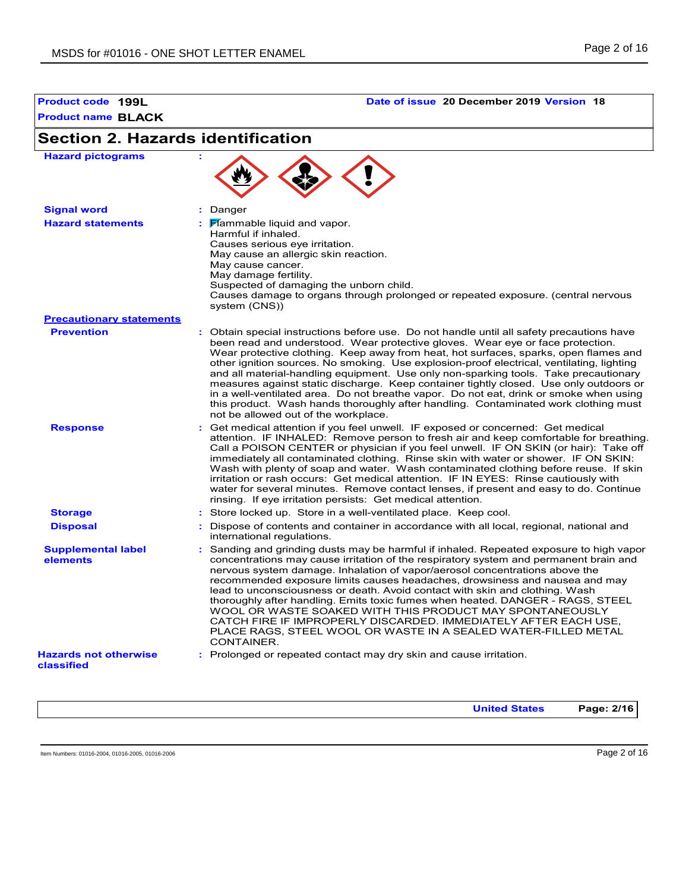

| <b>Hazard pictograms</b>                   |                                                                                                                                                                                                                                                                                                                                                                                                                                                                                                                                                                                                                                                                                                                                                                             |
|--------------------------------------------|-----------------------------------------------------------------------------------------------------------------------------------------------------------------------------------------------------------------------------------------------------------------------------------------------------------------------------------------------------------------------------------------------------------------------------------------------------------------------------------------------------------------------------------------------------------------------------------------------------------------------------------------------------------------------------------------------------------------------------------------------------------------------------|
| <b>Signal word</b>                         | : Danger                                                                                                                                                                                                                                                                                                                                                                                                                                                                                                                                                                                                                                                                                                                                                                    |
| <b>Hazard statements</b>                   | : Flammable liquid and vapor.<br>Harmful if inhaled.<br>Causes serious eye irritation.<br>May cause an allergic skin reaction.<br>May cause cancer.<br>May damage fertility.<br>Suspected of damaging the unborn child.<br>Causes damage to organs through prolonged or repeated exposure. (central nervous<br>system (CNS))                                                                                                                                                                                                                                                                                                                                                                                                                                                |
| <b>Precautionary statements</b>            |                                                                                                                                                                                                                                                                                                                                                                                                                                                                                                                                                                                                                                                                                                                                                                             |
| <b>Prevention</b>                          | : Obtain special instructions before use. Do not handle until all safety precautions have<br>been read and understood. Wear protective gloves. Wear eye or face protection.<br>Wear protective clothing. Keep away from heat, hot surfaces, sparks, open flames and<br>other ignition sources. No smoking. Use explosion-proof electrical, ventilating, lighting<br>and all material-handling equipment. Use only non-sparking tools. Take precautionary<br>measures against static discharge. Keep container tightly closed. Use only outdoors or<br>in a well-ventilated area. Do not breathe vapor. Do not eat, drink or smoke when using<br>this product. Wash hands thoroughly after handling. Contaminated work clothing must<br>not be allowed out of the workplace. |
| <b>Response</b>                            | : Get medical attention if you feel unwell. IF exposed or concerned: Get medical<br>attention. IF INHALED: Remove person to fresh air and keep comfortable for breathing.<br>Call a POISON CENTER or physician if you feel unwell. IF ON SKIN (or hair): Take off<br>immediately all contaminated clothing. Rinse skin with water or shower. IF ON SKIN:<br>Wash with plenty of soap and water. Wash contaminated clothing before reuse. If skin<br>irritation or rash occurs: Get medical attention. IF IN EYES: Rinse cautiously with<br>water for several minutes. Remove contact lenses, if present and easy to do. Continue<br>rinsing. If eye irritation persists: Get medical attention.                                                                             |
| <b>Storage</b>                             | : Store locked up. Store in a well-ventilated place. Keep cool.                                                                                                                                                                                                                                                                                                                                                                                                                                                                                                                                                                                                                                                                                                             |
| <b>Disposal</b>                            | : Dispose of contents and container in accordance with all local, regional, national and<br>international regulations.                                                                                                                                                                                                                                                                                                                                                                                                                                                                                                                                                                                                                                                      |
| <b>Supplemental label</b><br>elements      | : Sanding and grinding dusts may be harmful if inhaled. Repeated exposure to high vapor<br>concentrations may cause irritation of the respiratory system and permanent brain and<br>nervous system damage. Inhalation of vapor/aerosol concentrations above the<br>recommended exposure limits causes headaches, drowsiness and nausea and may<br>lead to unconsciousness or death. Avoid contact with skin and clothing. Wash<br>thoroughly after handling. Emits toxic fumes when heated. DANGER - RAGS, STEEL<br>WOOL OR WASTE SOAKED WITH THIS PRODUCT MAY SPONTANEOUSLY<br>CATCH FIRE IF IMPROPERLY DISCARDED. IMMEDIATELY AFTER EACH USE.<br>PLACE RAGS, STEEL WOOL OR WASTE IN A SEALED WATER-FILLED METAL<br>CONTAINER.                                             |
| <b>Hazards not otherwise</b><br>classified | : Prolonged or repeated contact may dry skin and cause irritation.                                                                                                                                                                                                                                                                                                                                                                                                                                                                                                                                                                                                                                                                                                          |

**United States Page: 2/16**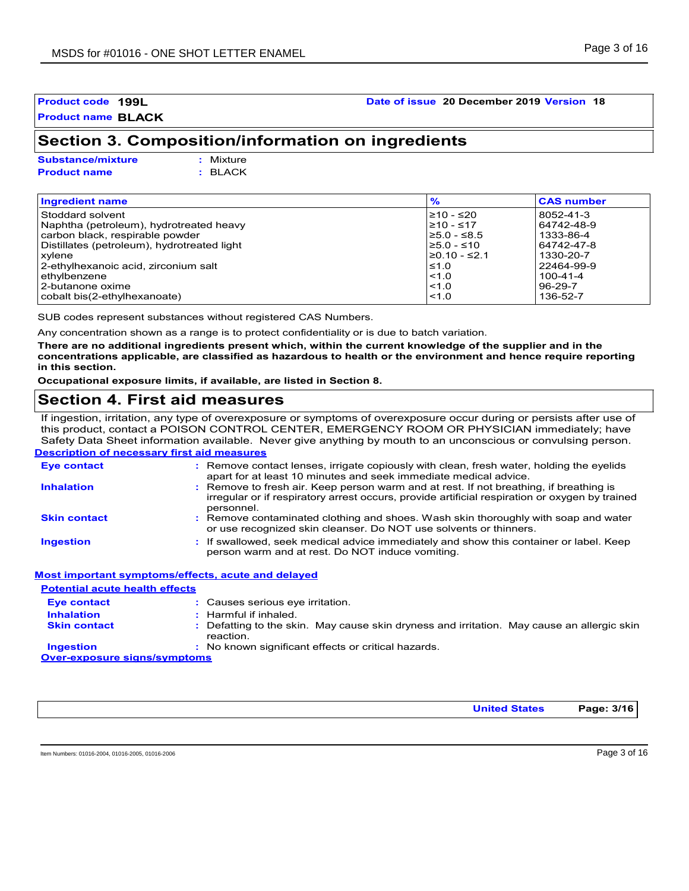### **Section 3. Composition/information on ingredients**

| <b>Substance/mixture</b> | : Mixture |
|--------------------------|-----------|
| <b>Product name</b>      | : BLACK   |

| <b>Ingredient name</b>                      | $\frac{9}{6}$      | <b>CAS number</b> |
|---------------------------------------------|--------------------|-------------------|
| Stoddard solvent                            | $≥10 - ≤20$        | 8052-41-3         |
| Naphtha (petroleum), hydrotreated heavy     | $≥10 - ≤17$        | 64742-48-9        |
| carbon black, respirable powder             | $≥5.0 - ≤8.5$      | 1333-86-4         |
| Distillates (petroleum), hydrotreated light | $≥5.0 - ≤10$       | 64742-47-8        |
| xylene                                      | $\geq 0.10 - 52.1$ | 1330-20-7         |
| 2-ethylhexanoic acid, zirconium salt        | ≤1.0               | 22464-99-9        |
| ethylbenzene                                | $ $ < 1.0          | $100 - 41 - 4$    |
| 2-butanone oxime                            | < 1.0              | $96-29-7$         |
| cobalt bis(2-ethylhexanoate)                | < 1.0              | 136-52-7          |

SUB codes represent substances without registered CAS Numbers.

Any concentration shown as a range is to protect confidentiality or is due to batch variation.

**There are no additional ingredients present which, within the current knowledge of the supplier and in the concentrations applicable, are classified as hazardous to health or the environment and hence require reporting in this section.**

**Occupational exposure limits, if available, are listed in Section 8.**

### **Section 4. First aid measures**

**Description of necessary first aid measures** If ingestion, irritation, any type of overexposure or symptoms of overexposure occur during or persists after use of this product, contact a POISON CONTROL CENTER, EMERGENCY ROOM OR PHYSICIAN immediately; have Safety Data Sheet information available. Never give anything by mouth to an unconscious or convulsing person.

| <b>Eye contact</b>  | : Remove contact lenses, irrigate copiously with clean, fresh water, holding the eyelids<br>apart for at least 10 minutes and seek immediate medical advice.                                           |
|---------------------|--------------------------------------------------------------------------------------------------------------------------------------------------------------------------------------------------------|
| <b>Inhalation</b>   | : Remove to fresh air. Keep person warm and at rest. If not breathing, if breathing is<br>irregular or if respiratory arrest occurs, provide artificial respiration or oxygen by trained<br>personnel. |
| <b>Skin contact</b> | : Remove contaminated clothing and shoes. Wash skin thoroughly with soap and water<br>or use recognized skin cleanser. Do NOT use solvents or thinners.                                                |
| <b>Ingestion</b>    | : If swallowed, seek medical advice immediately and show this container or label. Keep<br>person warm and at rest. Do NOT induce vomiting.                                                             |
|                     | Most important symptoms/effects, acute and delayed                                                                                                                                                     |

| <b>Potential acute health effects</b> |                                                                                                         |
|---------------------------------------|---------------------------------------------------------------------------------------------------------|
| Eye contact                           | : Causes serious eye irritation.                                                                        |
| <b>Inhalation</b>                     | $:$ Harmful if inhaled.                                                                                 |
| <b>Skin contact</b>                   | : Defatting to the skin. May cause skin dryness and irritation. May cause an allergic skin<br>reaction. |
| <b>Ingestion</b>                      | : No known significant effects or critical hazards.                                                     |
| <b>Over-exposure signs/symptoms</b>   |                                                                                                         |

**United States Page: 3/16**

**Product code 199L Date of issue 20 December 2019 Version 18**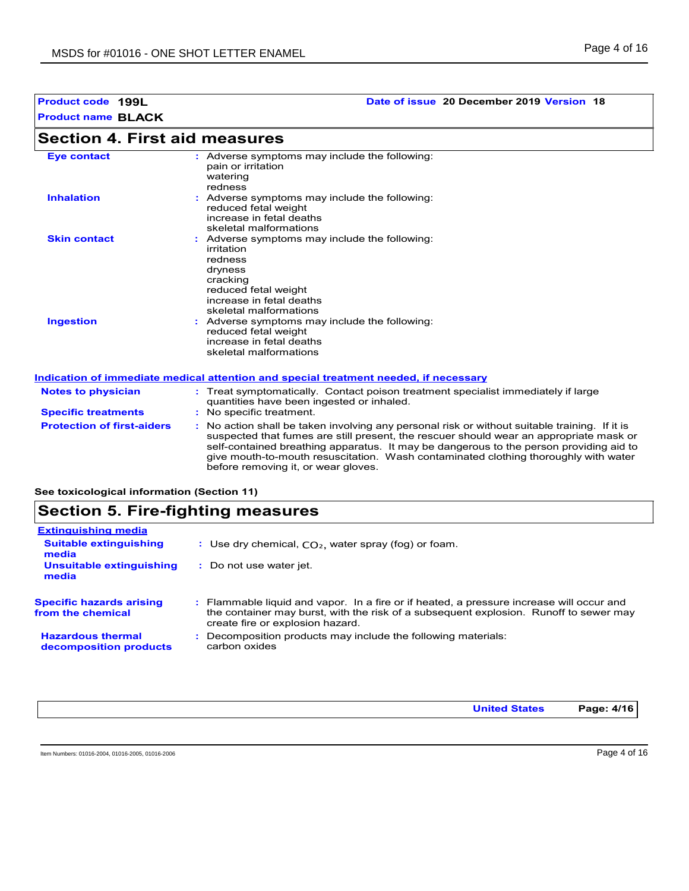### **Section 4. First aid measures**

| <b>Eye contact</b>  | : Adverse symptoms may include the following:<br>pain or irritation<br>watering<br>redness                                                                                  |
|---------------------|-----------------------------------------------------------------------------------------------------------------------------------------------------------------------------|
| <b>Inhalation</b>   | : Adverse symptoms may include the following:<br>reduced fetal weight<br>increase in fetal deaths<br>skeletal malformations                                                 |
| <b>Skin contact</b> | : Adverse symptoms may include the following:<br>irritation<br>redness<br>dryness<br>cracking<br>reduced fetal weight<br>increase in fetal deaths<br>skeletal malformations |
| <b>Ingestion</b>    | : Adverse symptoms may include the following:<br>reduced fetal weight<br>increase in fetal deaths<br>skeletal malformations                                                 |

#### **Indication of immediate medical attention and special treatment needed, if necessary**

| <b>Notes to physician</b><br><b>Specific treatments</b> | : Treat symptomatically. Contact poison treatment specialist immediately if large<br>quantities have been ingested or inhaled.<br>: No specific treatment.                                                                                                                                                                                                                                                      |
|---------------------------------------------------------|-----------------------------------------------------------------------------------------------------------------------------------------------------------------------------------------------------------------------------------------------------------------------------------------------------------------------------------------------------------------------------------------------------------------|
| <b>Protection of first-aiders</b>                       | : No action shall be taken involving any personal risk or without suitable training. If it is<br>suspected that fumes are still present, the rescuer should wear an appropriate mask or<br>self-contained breathing apparatus. It may be dangerous to the person providing aid to<br>give mouth-to-mouth resuscitation. Wash contaminated clothing thoroughly with water<br>before removing it, or wear gloves. |

**See toxicological information (Section 11)**

### **Section 5. Fire-fighting measures**

| <b>Extinguishing media</b>                           |                                                                                                                                                                                                                       |
|------------------------------------------------------|-----------------------------------------------------------------------------------------------------------------------------------------------------------------------------------------------------------------------|
| <b>Suitable extinguishing</b><br>media               | : Use dry chemical, $CO2$ , water spray (fog) or foam.                                                                                                                                                                |
| Unsuitable extinguishing<br>media                    | : Do not use water jet.                                                                                                                                                                                               |
| <b>Specific hazards arising</b><br>from the chemical | : Flammable liquid and vapor. In a fire or if heated, a pressure increase will occur and<br>the container may burst, with the risk of a subsequent explosion. Runoff to sewer may<br>create fire or explosion hazard. |
| <b>Hazardous thermal</b><br>decomposition products   | Decomposition products may include the following materials:<br>carbon oxides                                                                                                                                          |

**United States Page: 4/16**

Item Numbers: 01016-2004, 01016-2005, 01016-2006 Page 4 of 16

**Product code 199L Date of issue 20 December 2019 Version 18**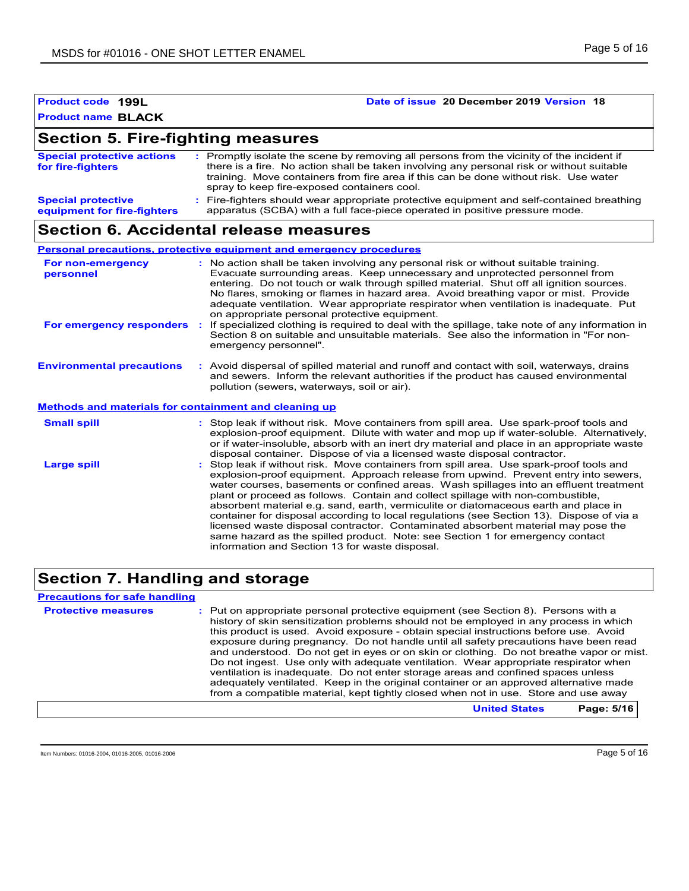| <b>Product code 199L</b>  | Date of issue 20 December 2019 Version 18 |
|---------------------------|-------------------------------------------|
| <b>Product name BLACK</b> |                                           |

### **Section 5. Fire-fighting measures**

| <b>Special protective actions</b><br>for fire-fighters   | : Promptly isolate the scene by removing all persons from the vicinity of the incident if<br>there is a fire. No action shall be taken involving any personal risk or without suitable<br>training. Move containers from fire area if this can be done without risk. Use water<br>spray to keep fire-exposed containers cool. |
|----------------------------------------------------------|-------------------------------------------------------------------------------------------------------------------------------------------------------------------------------------------------------------------------------------------------------------------------------------------------------------------------------|
| <b>Special protective</b><br>equipment for fire-fighters | : Fire-fighters should wear appropriate protective equipment and self-contained breathing<br>apparatus (SCBA) with a full face-piece operated in positive pressure mode.                                                                                                                                                      |

### **Section 6. Accidental release measures**

|                                                              | <b>Personal precautions, protective equipment and emergency procedures</b>                                                                                                                                                                                                                                                                                                                                                                                                                                                                                                                                                                                                                                                                                         |
|--------------------------------------------------------------|--------------------------------------------------------------------------------------------------------------------------------------------------------------------------------------------------------------------------------------------------------------------------------------------------------------------------------------------------------------------------------------------------------------------------------------------------------------------------------------------------------------------------------------------------------------------------------------------------------------------------------------------------------------------------------------------------------------------------------------------------------------------|
| For non-emergency<br>personnel                               | : No action shall be taken involving any personal risk or without suitable training.<br>Evacuate surrounding areas. Keep unnecessary and unprotected personnel from<br>entering. Do not touch or walk through spilled material. Shut off all ignition sources.<br>No flares, smoking or flames in hazard area. Avoid breathing vapor or mist. Provide<br>adequate ventilation. Wear appropriate respirator when ventilation is inadequate. Put<br>on appropriate personal protective equipment.                                                                                                                                                                                                                                                                    |
| For emergency responders                                     | If specialized clothing is required to deal with the spillage, take note of any information in<br>÷.<br>Section 8 on suitable and unsuitable materials. See also the information in "For non-<br>emergency personnel".                                                                                                                                                                                                                                                                                                                                                                                                                                                                                                                                             |
| <b>Environmental precautions</b>                             | : Avoid dispersal of spilled material and runoff and contact with soil, waterways, drains<br>and sewers. Inform the relevant authorities if the product has caused environmental<br>pollution (sewers, waterways, soil or air).                                                                                                                                                                                                                                                                                                                                                                                                                                                                                                                                    |
| <b>Methods and materials for containment and cleaning up</b> |                                                                                                                                                                                                                                                                                                                                                                                                                                                                                                                                                                                                                                                                                                                                                                    |
| <b>Small spill</b>                                           | : Stop leak if without risk. Move containers from spill area. Use spark-proof tools and<br>explosion-proof equipment. Dilute with water and mop up if water-soluble. Alternatively,<br>or if water-insoluble, absorb with an inert dry material and place in an appropriate waste<br>disposal container. Dispose of via a licensed waste disposal contractor.                                                                                                                                                                                                                                                                                                                                                                                                      |
| <b>Large spill</b>                                           | Stop leak if without risk. Move containers from spill area. Use spark-proof tools and<br>explosion-proof equipment. Approach release from upwind. Prevent entry into sewers,<br>water courses, basements or confined areas. Wash spillages into an effluent treatment<br>plant or proceed as follows. Contain and collect spillage with non-combustible,<br>absorbent material e.g. sand, earth, vermiculite or diatomaceous earth and place in<br>container for disposal according to local regulations (see Section 13). Dispose of via a<br>licensed waste disposal contractor. Contaminated absorbent material may pose the<br>same hazard as the spilled product. Note: see Section 1 for emergency contact<br>information and Section 13 for waste disposal. |

### **Section 7. Handling and storage**

#### **Precautions for safe handling**

**Protective measures** : Put on appropriate personal protective equipment (see Section 8). Persons with a **Protestion** history of skin sensitization problems should not be employed in any process in which this product is used. Avoid exposure - obtain special instructions before use. Avoid exposure during pregnancy. Do not handle until all safety precautions have been read and understood. Do not get in eyes or on skin or clothing. Do not breathe vapor or mist. Do not ingest. Use only with adequate ventilation. Wear appropriate respirator when ventilation is inadequate. Do not enter storage areas and confined spaces unless adequately ventilated. Keep in the original container or an approved alternative made from a compatible material, kept tightly closed when not in use. Store and use away

**United States Page: 5/16**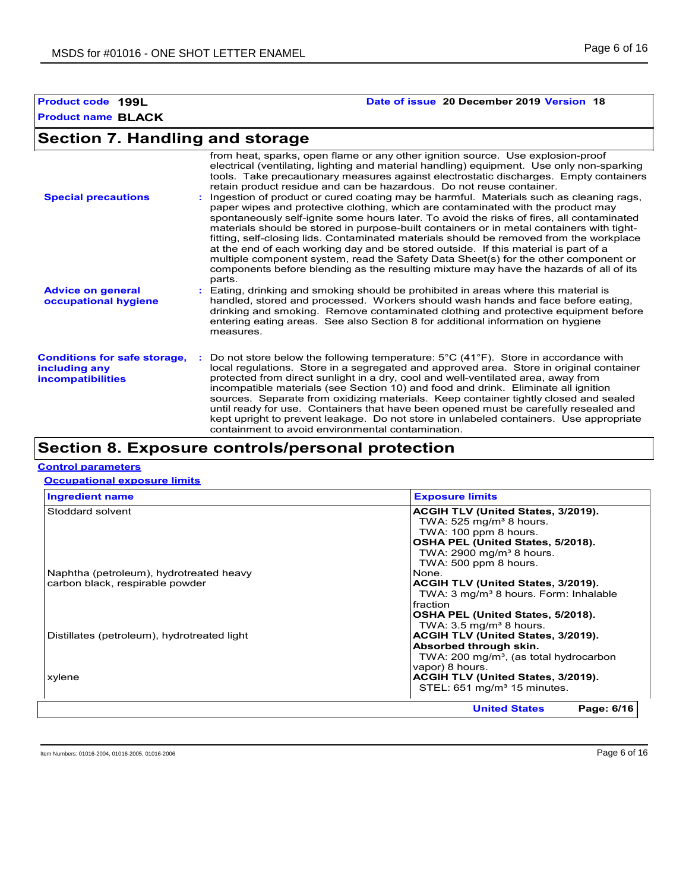#### **Product code 199L Date of issue 20 December 2019 Version 18**

### **Section 7. Handling and storage**

| <b>Special precautions</b>                                                       | from heat, sparks, open flame or any other ignition source. Use explosion-proof<br>electrical (ventilating, lighting and material handling) equipment. Use only non-sparking<br>tools. Take precautionary measures against electrostatic discharges. Empty containers<br>retain product residue and can be hazardous. Do not reuse container.<br>Ingestion of product or cured coating may be harmful. Materials such as cleaning rags,<br>paper wipes and protective clothing, which are contaminated with the product may<br>spontaneously self-ignite some hours later. To avoid the risks of fires, all contaminated<br>materials should be stored in purpose-built containers or in metal containers with tight-<br>fitting, self-closing lids. Contaminated materials should be removed from the workplace<br>at the end of each working day and be stored outside. If this material is part of a<br>multiple component system, read the Safety Data Sheet(s) for the other component or<br>components before blending as the resulting mixture may have the hazards of all of its<br>parts. |
|----------------------------------------------------------------------------------|----------------------------------------------------------------------------------------------------------------------------------------------------------------------------------------------------------------------------------------------------------------------------------------------------------------------------------------------------------------------------------------------------------------------------------------------------------------------------------------------------------------------------------------------------------------------------------------------------------------------------------------------------------------------------------------------------------------------------------------------------------------------------------------------------------------------------------------------------------------------------------------------------------------------------------------------------------------------------------------------------------------------------------------------------------------------------------------------------|
| <b>Advice on general</b><br>occupational hygiene                                 | Eating, drinking and smoking should be prohibited in areas where this material is<br>handled, stored and processed. Workers should wash hands and face before eating,<br>drinking and smoking. Remove contaminated clothing and protective equipment before<br>entering eating areas. See also Section 8 for additional information on hygiene<br>measures.                                                                                                                                                                                                                                                                                                                                                                                                                                                                                                                                                                                                                                                                                                                                        |
| <b>Conditions for safe storage,</b><br>including any<br><b>incompatibilities</b> | Do not store below the following temperature: $5^{\circ}$ C (41 $^{\circ}$ F). Store in accordance with<br>local regulations. Store in a segregated and approved area. Store in original container<br>protected from direct sunlight in a dry, cool and well-ventilated area, away from<br>incompatible materials (see Section 10) and food and drink. Eliminate all ignition<br>sources. Separate from oxidizing materials. Keep container tightly closed and sealed<br>until ready for use. Containers that have been opened must be carefully resealed and<br>kept upright to prevent leakage. Do not store in unlabeled containers. Use appropriate<br>containment to avoid environmental contamination.                                                                                                                                                                                                                                                                                                                                                                                       |

### **Section 8. Exposure controls/personal protection**

#### **Control parameters**

**Occupational exposure limits**

| <b>Ingredient name</b>                      | <b>Exposure limits</b>                             |
|---------------------------------------------|----------------------------------------------------|
| Stoddard solvent                            | ACGIH TLV (United States, 3/2019).                 |
|                                             | TWA: $525 \text{ mg/m}^3$ 8 hours.                 |
|                                             | TWA: 100 ppm 8 hours.                              |
|                                             | OSHA PEL (United States, 5/2018).                  |
|                                             | TWA: $2900 \text{ mg/m}^3$ 8 hours.                |
|                                             | TWA: 500 ppm 8 hours.                              |
| Naphtha (petroleum), hydrotreated heavy     | None.                                              |
| carbon black, respirable powder             | ACGIH TLV (United States, 3/2019).                 |
|                                             | TWA: 3 mg/m <sup>3</sup> 8 hours. Form: Inhalable  |
|                                             | <b>fraction</b>                                    |
|                                             | OSHA PEL (United States, 5/2018).                  |
|                                             | TWA: $3.5 \,\mathrm{mq/m^3}$ 8 hours.              |
| Distillates (petroleum), hydrotreated light | ACGIH TLV (United States, 3/2019).                 |
|                                             | Absorbed through skin.                             |
|                                             | TWA: 200 mg/m <sup>3</sup> , (as total hydrocarbon |
|                                             | vapor) 8 hours.                                    |
| xylene                                      | ACGIH TLV (United States, 3/2019).                 |
|                                             | STEL: 651 mg/m <sup>3</sup> 15 minutes.            |
|                                             |                                                    |
|                                             | <b>United States</b><br>Page: 6/16                 |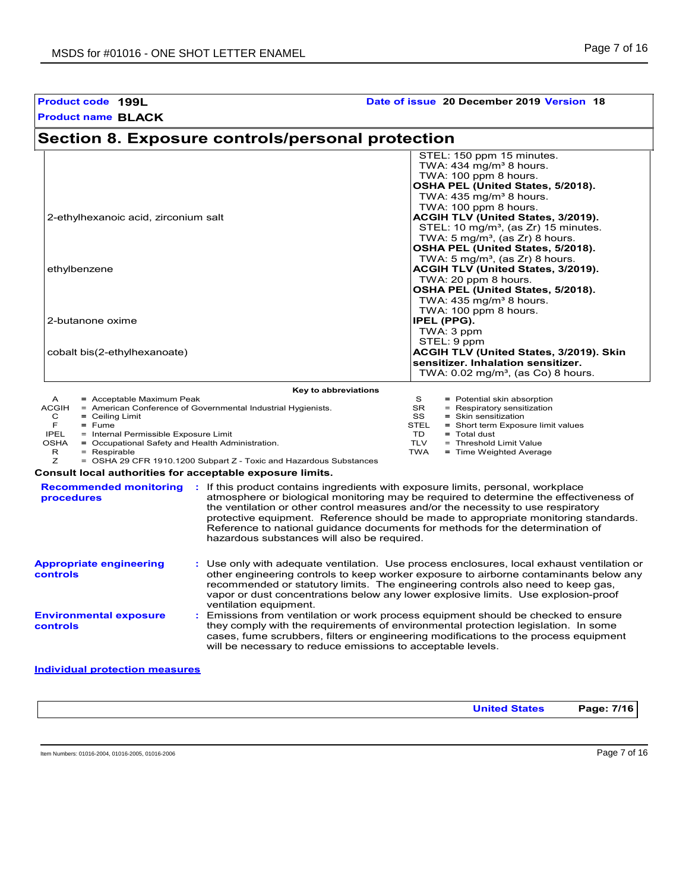#### **Product name BLACK Product code 199L Date of issue 20 December 2019 Version 18 Section 8. Exposure controls/personal protection** STEL: 150 ppm 15 minutes. TWA:  $434$  mg/m $38$  hours. TWA: 100 ppm 8 hours. **OSHA PEL (United States, 5/2018).** TWA:  $435 \text{ mg/m}^3$  8 hours. TWA: 100 ppm 8 hours. 2-ethylhexanoic acid, zirconium salt **ACGIH TLV (United States, 3/2019).** STEL: 10 mg/m $3$ , (as Zr) 15 minutes. TWA:  $5 \text{ mg/m}^3$ , (as Zr) 8 hours. **OSHA PEL (United States, 5/2018).** TWA:  $5 \text{ mg/m}^3$ , (as Zr) 8 hours. ethylbenzene **ACGIH TLV (United States, 3/2019).** TWA: 20 ppm 8 hours. **OSHA PEL (United States, 5/2018).** TWA:  $435 \text{ mg/m}^3$  8 hours. TWA: 100 ppm 8 hours.<br>**IPEL (PPG). 2-butanone oxime**  TWA: 3 ppm STEL: 9 ppm cobalt bis(2-ethylhexanoate) **ACGIH TLV (United States, 3/2019). Skin sensitizer. Inhalation sensitizer.**  TWA:  $0.02$  mg/m<sup>3</sup>, (as Co) 8 hours. **Environmental exposure controls :** Emissions from ventilation or work process equipment should be checked to ensure they comply with the requirements of environmental protection legislation. In some cases, fume scrubbers, filters or engineering modifications to the process equipment will be necessary to reduce emissions to acceptable levels. **Appropriate engineering controls :** Use only with adequate ventilation. Use process enclosures, local exhaust ventilation or other engineering controls to keep worker exposure to airborne contaminants below any recommended or statutory limits. The engineering controls also need to keep gas, vapor or dust concentrations below any lower explosive limits. Use explosion-proof ventilation equipment. **Recommended monitoring :** If this product contains ingredients with exposure limits, personal, workplace **procedures** atmosphere or biological monitoring may be required to determine the effectiveness of the ventilation or other control measures and/or the necessity to use respiratory protective equipment. Reference should be made to appropriate monitoring standards. Reference to national guidance documents for methods for the determination of hazardous substances will also be required. **Key to abbreviations** A **=** Acceptable Maximum Peak = American Conference of Governmental Industrial Hygienists. C **=** Ceiling Limit S = Potential skin absorption SR = Respiratory sensitization SS = Skin sensitization<br>STEL = Short term Expos TD **=** Total dust **Consult local authorities for acceptable exposure limits.** TLV = Threshold Limit Value TWA **=** Time Weighted Average F **=** Fume IPEL = Internal Permissible Exposure Limit OSHA = Occupational Safety and Health Adr  $=$  Occupational Safety and Health Administration. R = Respirable Z = OSHA 29 CFR 1910.1200 Subpart Z - Toxic and Hazardous Substances STEL **=** Short term Exposure limit values

#### **Individual protection measures**

**United States Page: 7/16**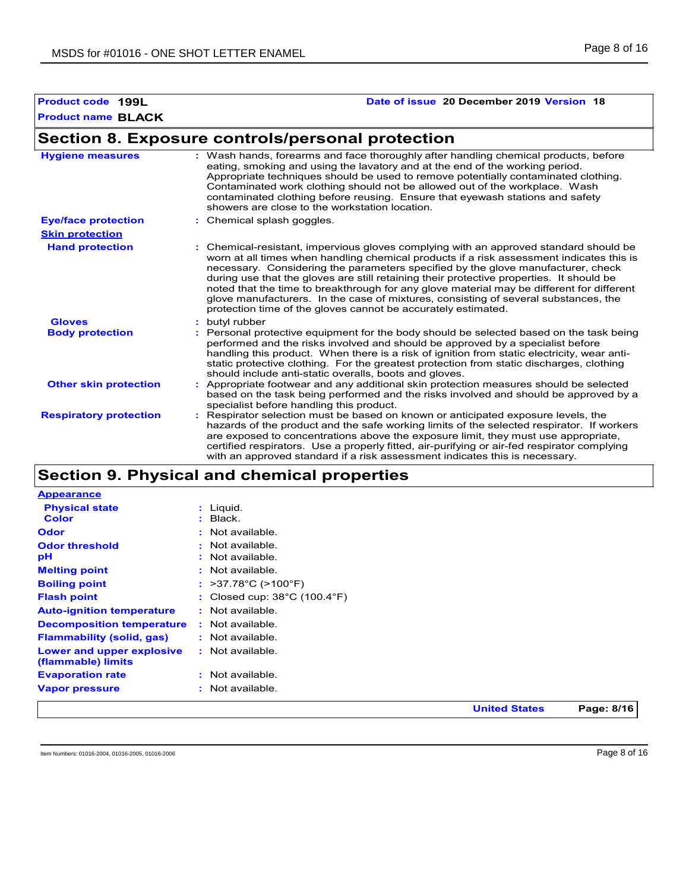#### **Product code 199L Date of issue 20 December 2019 Version 18**

### **Section 8. Exposure controls/personal protection**

| <b>Hygiene measures</b>       | : Wash hands, forearms and face thoroughly after handling chemical products, before<br>eating, smoking and using the lavatory and at the end of the working period.<br>Appropriate techniques should be used to remove potentially contaminated clothing.<br>Contaminated work clothing should not be allowed out of the workplace. Wash<br>contaminated clothing before reusing. Ensure that eyewash stations and safety<br>showers are close to the workstation location.                                                                                                                                            |
|-------------------------------|------------------------------------------------------------------------------------------------------------------------------------------------------------------------------------------------------------------------------------------------------------------------------------------------------------------------------------------------------------------------------------------------------------------------------------------------------------------------------------------------------------------------------------------------------------------------------------------------------------------------|
| <b>Eye/face protection</b>    | : Chemical splash goggles.                                                                                                                                                                                                                                                                                                                                                                                                                                                                                                                                                                                             |
| <b>Skin protection</b>        |                                                                                                                                                                                                                                                                                                                                                                                                                                                                                                                                                                                                                        |
| <b>Hand protection</b>        | : Chemical-resistant, impervious gloves complying with an approved standard should be<br>worn at all times when handling chemical products if a risk assessment indicates this is<br>necessary. Considering the parameters specified by the glove manufacturer, check<br>during use that the gloves are still retaining their protective properties. It should be<br>noted that the time to breakthrough for any glove material may be different for different<br>glove manufacturers. In the case of mixtures, consisting of several substances, the<br>protection time of the gloves cannot be accurately estimated. |
| <b>Gloves</b>                 | : butyl rubber                                                                                                                                                                                                                                                                                                                                                                                                                                                                                                                                                                                                         |
| <b>Body protection</b>        | Personal protective equipment for the body should be selected based on the task being<br>performed and the risks involved and should be approved by a specialist before<br>handling this product. When there is a risk of ignition from static electricity, wear anti-<br>static protective clothing. For the greatest protection from static discharges, clothing<br>should include anti-static overalls, boots and gloves.                                                                                                                                                                                           |
| <b>Other skin protection</b>  | Appropriate footwear and any additional skin protection measures should be selected<br>based on the task being performed and the risks involved and should be approved by a<br>specialist before handling this product.                                                                                                                                                                                                                                                                                                                                                                                                |
| <b>Respiratory protection</b> | : Respirator selection must be based on known or anticipated exposure levels, the<br>hazards of the product and the safe working limits of the selected respirator. If workers<br>are exposed to concentrations above the exposure limit, they must use appropriate,<br>certified respirators. Use a properly fitted, air-purifying or air-fed respirator complying<br>with an approved standard if a risk assessment indicates this is necessary.                                                                                                                                                                     |

### **Section 9. Physical and chemical properties**

|                                                 |                                                   | <b>United States</b> | Page: 8/16 |
|-------------------------------------------------|---------------------------------------------------|----------------------|------------|
| <b>Vapor pressure</b>                           | : Not available.                                  |                      |            |
| <b>Evaporation rate</b>                         | : Not available.                                  |                      |            |
| Lower and upper explosive<br>(flammable) limits | : Not available.                                  |                      |            |
| <b>Flammability (solid, gas)</b>                | : Not available.                                  |                      |            |
| <b>Decomposition temperature</b>                | : Not available.                                  |                      |            |
| <b>Auto-ignition temperature</b>                | : Not available.                                  |                      |            |
| <b>Flash point</b>                              | : Closed cup: $38^{\circ}$ C (100.4 $^{\circ}$ F) |                      |            |
| <b>Boiling point</b>                            | : $>37.78^{\circ}$ C ( $>100^{\circ}$ F)          |                      |            |
| <b>Melting point</b>                            | : Not available.                                  |                      |            |
| рH                                              | $:$ Not available.                                |                      |            |
| <b>Odor threshold</b>                           | $:$ Not available.                                |                      |            |
| Odor                                            | : Not available.                                  |                      |            |
| <b>Color</b>                                    | $:$ Black.                                        |                      |            |
| <b>Physical state</b>                           | : Liguid.                                         |                      |            |
| <b>Appearance</b>                               |                                                   |                      |            |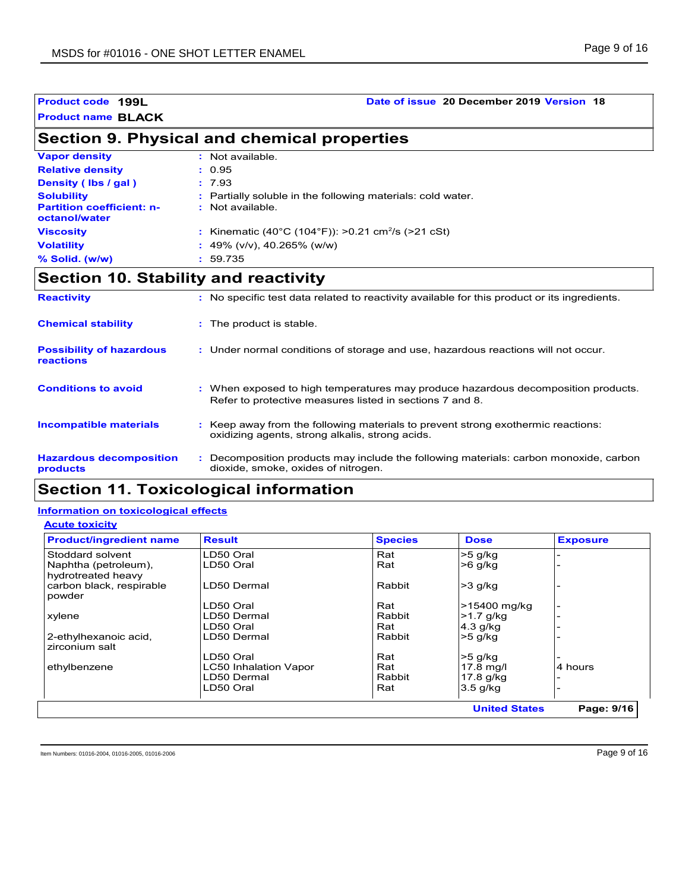#### **Product code 199L Date of issue 20 December 2019 Version 18**

### **Section 9. Physical and chemical properties**

| <b>Vapor density</b>                              | : Not available.                                               |
|---------------------------------------------------|----------------------------------------------------------------|
| <b>Relative density</b>                           | : 0.95                                                         |
| Density (Ibs / gal)                               | : 7.93                                                         |
| <b>Solubility</b>                                 | : Partially soluble in the following materials: cold water.    |
| <b>Partition coefficient: n-</b><br>octanol/water | : Not available.                                               |
| <b>Viscosity</b>                                  | : Kinematic (40°C (104°F)): >0.21 cm <sup>2</sup> /s (>21 cSt) |
| <b>Volatility</b>                                 | : 49% ( $v/v$ ), 40.265% ( $w/w$ )                             |
| $%$ Solid. (w/w)                                  | : 59.735                                                       |

### **Section 10. Stability and reactivity**

| <b>Reactivity</b>                            | : No specific test data related to reactivity available for this product or its ingredients.                                                  |
|----------------------------------------------|-----------------------------------------------------------------------------------------------------------------------------------------------|
| <b>Chemical stability</b>                    | : The product is stable.                                                                                                                      |
| <b>Possibility of hazardous</b><br>reactions | : Under normal conditions of storage and use, hazardous reactions will not occur.                                                             |
| <b>Conditions to avoid</b>                   | : When exposed to high temperatures may produce hazardous decomposition products.<br>Refer to protective measures listed in sections 7 and 8. |
| Incompatible materials                       | : Keep away from the following materials to prevent strong exothermic reactions:<br>oxidizing agents, strong alkalis, strong acids.           |
| <b>Hazardous decomposition</b><br>products   | Decomposition products may include the following materials: carbon monoxide, carbon<br>dioxide, smoke, oxides of nitrogen.                    |

### **Section 11. Toxicological information**

#### **Information on toxicological effects**

#### **Acute toxicity**

| <b>Product/ingredient name</b>             | <b>Result</b>                | <b>Species</b> | <b>Dose</b>          | <b>Exposure</b> |
|--------------------------------------------|------------------------------|----------------|----------------------|-----------------|
| Stoddard solvent                           | LD50 Oral                    | Rat            | $>5$ g/kg            |                 |
| Naphtha (petroleum),<br>hydrotreated heavy | LD50 Oral                    | Rat            | $>6$ g/kg            |                 |
| carbon black, respirable<br>powder         | LD50 Dermal                  | Rabbit         | $>3$ g/kg            |                 |
|                                            | LD50 Oral                    | Rat            | >15400 mg/kg         |                 |
| xylene                                     | LD50 Dermal                  | Rabbit         | >1.7 g/kg            |                 |
|                                            | LD50 Oral                    | Rat            | $4.3$ g/kg           |                 |
| 2-ethylhexanoic acid,<br>zirconium salt    | LD50 Dermal                  | Rabbit         | $>5$ g/kg            |                 |
|                                            | LD50 Oral                    | Rat            | >5 g/kg              |                 |
| ethylbenzene                               | <b>LC50 Inhalation Vapor</b> | Rat            | $17.8$ mg/l          | 4 hours         |
|                                            | LD50 Dermal                  | Rabbit         | 17.8 g/kg            |                 |
|                                            | LD50 Oral                    | Rat            | $3.5$ g/kg           |                 |
|                                            |                              |                | <b>United States</b> | Page: 9/16      |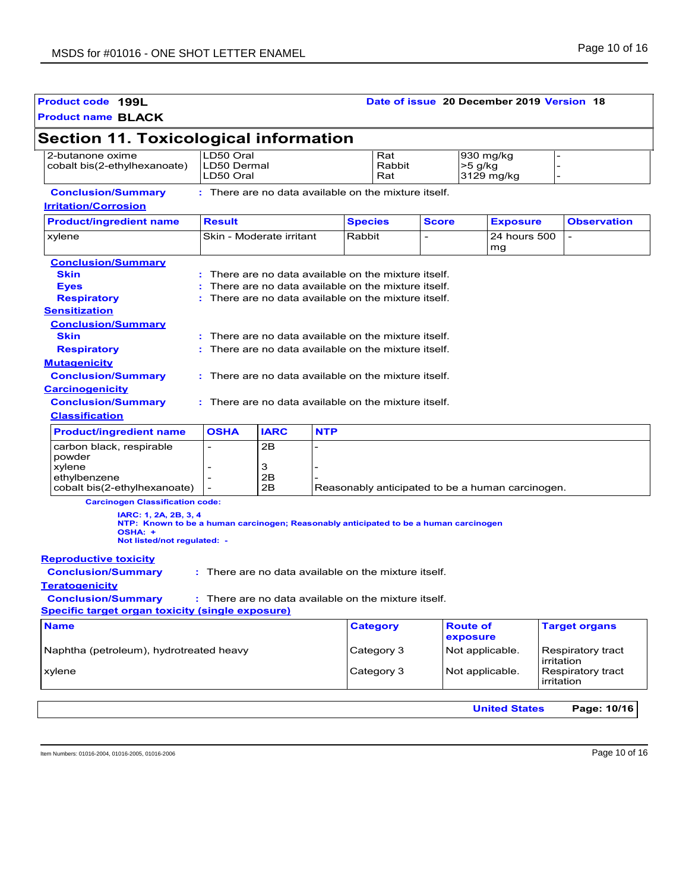| Product code 199L<br><b>Product name BLACK</b>                                                                                                          |                                                        |                                                    |            |                 |                      |              | Date of issue 20 December 2019 Version 18        |                                 |
|---------------------------------------------------------------------------------------------------------------------------------------------------------|--------------------------------------------------------|----------------------------------------------------|------------|-----------------|----------------------|--------------|--------------------------------------------------|---------------------------------|
|                                                                                                                                                         |                                                        |                                                    |            |                 |                      |              |                                                  |                                 |
| <b>Section 11. Toxicological information</b><br>2-butanone oxime                                                                                        | LD50 Oral                                              |                                                    |            |                 |                      |              |                                                  |                                 |
| cobalt bis(2-ethylhexanoate)                                                                                                                            | LD50 Dermal<br>LD50 Oral                               |                                                    |            |                 | Rat<br>Rabbit<br>Rat |              | 930 mg/kg<br>>5 g/kg<br>3129 mg/kg               |                                 |
| <b>Conclusion/Summary</b>                                                                                                                               | : There are no data available on the mixture itself.   |                                                    |            |                 |                      |              |                                                  |                                 |
| <b>Irritation/Corrosion</b>                                                                                                                             |                                                        |                                                    |            |                 |                      |              |                                                  |                                 |
| <b>Product/ingredient name</b>                                                                                                                          | <b>Result</b>                                          |                                                    |            | <b>Species</b>  |                      | <b>Score</b> | <b>Exposure</b>                                  | <b>Observation</b>              |
| xylene                                                                                                                                                  |                                                        | Skin - Moderate irritant                           |            | Rabbit          |                      |              | 24 hours 500<br>mg                               |                                 |
| <b>Conclusion/Summary</b>                                                                                                                               |                                                        |                                                    |            |                 |                      |              |                                                  |                                 |
| <b>Skin</b>                                                                                                                                             |                                                        | There are no data available on the mixture itself. |            |                 |                      |              |                                                  |                                 |
| <b>Eyes</b>                                                                                                                                             |                                                        | There are no data available on the mixture itself. |            |                 |                      |              |                                                  |                                 |
| <b>Respiratory</b>                                                                                                                                      | : There are no data available on the mixture itself.   |                                                    |            |                 |                      |              |                                                  |                                 |
| <b>Sensitization</b>                                                                                                                                    |                                                        |                                                    |            |                 |                      |              |                                                  |                                 |
| <b>Conclusion/Summary</b>                                                                                                                               |                                                        |                                                    |            |                 |                      |              |                                                  |                                 |
| <b>Skin</b>                                                                                                                                             | $:$ There are no data available on the mixture itself. |                                                    |            |                 |                      |              |                                                  |                                 |
| <b>Respiratory</b>                                                                                                                                      | : There are no data available on the mixture itself.   |                                                    |            |                 |                      |              |                                                  |                                 |
| <b>Mutagenicity</b>                                                                                                                                     |                                                        |                                                    |            |                 |                      |              |                                                  |                                 |
| <b>Conclusion/Summary</b>                                                                                                                               | : There are no data available on the mixture itself.   |                                                    |            |                 |                      |              |                                                  |                                 |
| <b>Carcinogenicity</b>                                                                                                                                  |                                                        |                                                    |            |                 |                      |              |                                                  |                                 |
| <b>Conclusion/Summary</b>                                                                                                                               | : There are no data available on the mixture itself.   |                                                    |            |                 |                      |              |                                                  |                                 |
| <b>Classification</b>                                                                                                                                   |                                                        |                                                    |            |                 |                      |              |                                                  |                                 |
|                                                                                                                                                         |                                                        |                                                    |            |                 |                      |              |                                                  |                                 |
| <b>Product/ingredient name</b>                                                                                                                          | <b>OSHA</b>                                            | <b>IARC</b>                                        | <b>NTP</b> |                 |                      |              |                                                  |                                 |
| carbon black, respirable                                                                                                                                | $\overline{\phantom{a}}$                               | 2B                                                 | -          |                 |                      |              |                                                  |                                 |
| powder<br>xylene                                                                                                                                        | $\overline{a}$                                         | 3                                                  |            |                 |                      |              |                                                  |                                 |
| ethylbenzene                                                                                                                                            |                                                        | 2Β                                                 |            |                 |                      |              |                                                  |                                 |
| cobalt bis(2-ethylhexanoate)                                                                                                                            | $\overline{\phantom{a}}$                               | 2B                                                 |            |                 |                      |              | Reasonably anticipated to be a human carcinogen. |                                 |
| <b>Carcinogen Classification code:</b>                                                                                                                  |                                                        |                                                    |            |                 |                      |              |                                                  |                                 |
| IARC: 1, 2A, 2B, 3, 4<br>NTP: Known to be a human carcinogen; Reasonably anticipated to be a human carcinogen<br>OSHA: +<br>Not listed/not regulated: - |                                                        |                                                    |            |                 |                      |              |                                                  |                                 |
| <b>Reproductive toxicity</b>                                                                                                                            |                                                        |                                                    |            |                 |                      |              |                                                  |                                 |
| <b>Conclusion/Summary</b>                                                                                                                               | : There are no data available on the mixture itself.   |                                                    |            |                 |                      |              |                                                  |                                 |
| <b>Teratogenicity</b>                                                                                                                                   |                                                        |                                                    |            |                 |                      |              |                                                  |                                 |
| <b>Conclusion/Summary</b>                                                                                                                               | : There are no data available on the mixture itself.   |                                                    |            |                 |                      |              |                                                  |                                 |
| Specific target organ toxicity (single exposure)                                                                                                        |                                                        |                                                    |            |                 |                      |              |                                                  |                                 |
| <b>Name</b>                                                                                                                                             |                                                        |                                                    |            | <b>Category</b> |                      |              | <b>Route of</b>                                  | <b>Target organs</b>            |
|                                                                                                                                                         |                                                        |                                                    |            |                 |                      |              | exposure                                         |                                 |
| Naphtha (petroleum), hydrotreated heavy                                                                                                                 |                                                        |                                                    |            | Category 3      |                      |              | Not applicable.                                  | Respiratory tract<br>irritation |
| xylene                                                                                                                                                  |                                                        |                                                    |            | Category 3      |                      |              | Not applicable.                                  | Respiratory tract               |

Item Numbers: 01016-2004, 01016-2005, 01016-2006 Page 10 of 16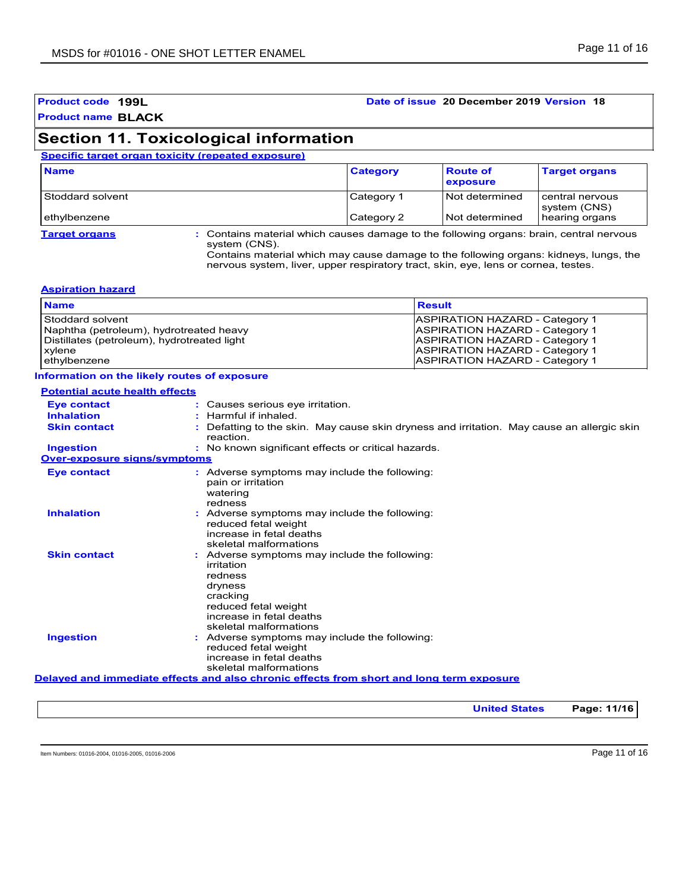#### **Product code 199L Date of issue 20 December 2019 Version 18**

### **Section 11. Toxicological information**

#### **Specific target organ toxicity (repeated exposure)**

| <b>Name</b>          |                                                                                                          | <b>Category</b> | <b>Route of</b><br>exposure | <b>Target organs</b>            |
|----------------------|----------------------------------------------------------------------------------------------------------|-----------------|-----------------------------|---------------------------------|
| Stoddard solvent     |                                                                                                          | Category 1      | Not determined              | central nervous<br>system (CNS) |
| ethylbenzene         |                                                                                                          | Category 2      | Not determined              | hearing organs                  |
| <b>Target organs</b> | : Contains material which causes damage to the following organs: brain, central nervous<br>system (CNS). |                 |                             |                                 |

Contains material which may cause damage to the following organs: kidneys, lungs, the nervous system, liver, upper respiratory tract, skin, eye, lens or cornea, testes.

#### **Aspiration hazard**

| <b>Result</b>                         |
|---------------------------------------|
| <b>ASPIRATION HAZARD - Category 1</b> |
| <b>ASPIRATION HAZARD - Category 1</b> |
| <b>ASPIRATION HAZARD - Category 1</b> |
| <b>ASPIRATION HAZARD - Category 1</b> |
| <b>ASPIRATION HAZARD - Category 1</b> |
|                                       |

#### **Information on the likely routes of exposure**

| <b>Potential acute health effects</b> |                                                                                                                                                                             |
|---------------------------------------|-----------------------------------------------------------------------------------------------------------------------------------------------------------------------------|
| <b>Eve contact</b>                    | : Causes serious eye irritation.                                                                                                                                            |
| <b>Inhalation</b>                     | : Harmful if inhaled.                                                                                                                                                       |
| <b>Skin contact</b>                   | Defatting to the skin. May cause skin dryness and irritation. May cause an allergic skin<br>reaction.                                                                       |
| <b>Ingestion</b>                      | : No known significant effects or critical hazards.                                                                                                                         |
| <b>Over-exposure signs/symptoms</b>   |                                                                                                                                                                             |
| <b>Eve contact</b>                    | : Adverse symptoms may include the following:<br>pain or irritation<br>watering<br>redness                                                                                  |
| <b>Inhalation</b>                     | : Adverse symptoms may include the following:<br>reduced fetal weight<br>increase in fetal deaths<br>skeletal malformations                                                 |
| <b>Skin contact</b>                   | : Adverse symptoms may include the following:<br>irritation<br>redness<br>dryness<br>cracking<br>reduced fetal weight<br>increase in fetal deaths<br>skeletal malformations |
| <b>Ingestion</b>                      | : Adverse symptoms may include the following:<br>reduced fetal weight<br>increase in fetal deaths<br>skeletal malformations                                                 |
|                                       | Delayed and immediate effects and also chronic effects from short and long term exposure                                                                                    |
|                                       |                                                                                                                                                                             |

**United States Page: 11/16**

Item Numbers: 01016-2004, 01016-2005, 01016-2006 **Page 11 of 16**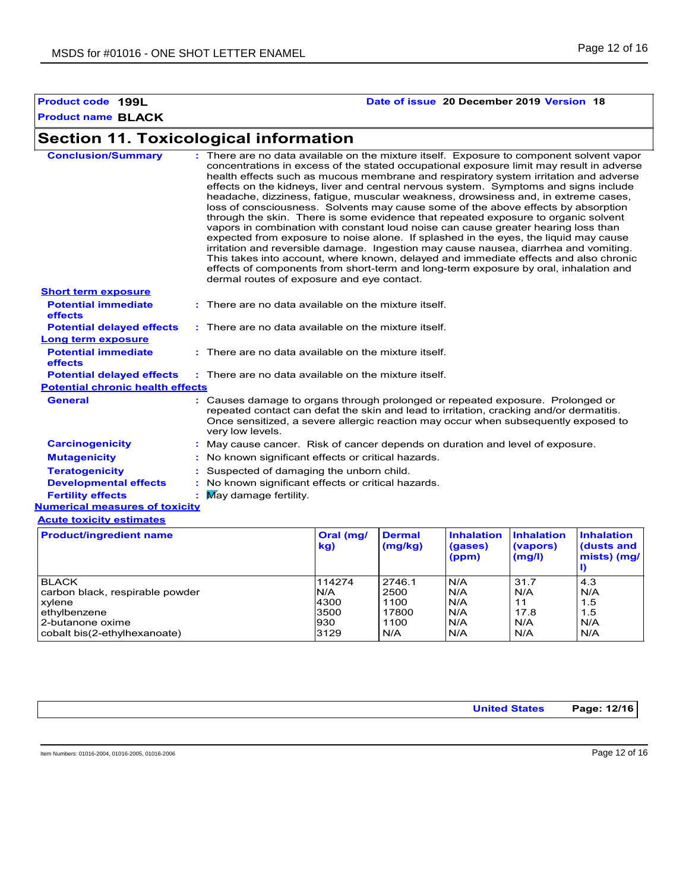### **Product code 199L Date of issue 20 December 2019 Version 18**

### **Section 11. Toxicological information**

| <b>Short term exposure</b><br><b>Potential immediate</b> | dermal routes of exposure and eye contact.<br>: There are no data available on the mixture itself.                                                                                                                                                                                  |            |                 |                   |                   |                   |
|----------------------------------------------------------|-------------------------------------------------------------------------------------------------------------------------------------------------------------------------------------------------------------------------------------------------------------------------------------|------------|-----------------|-------------------|-------------------|-------------------|
| effects                                                  |                                                                                                                                                                                                                                                                                     |            |                 |                   |                   |                   |
| <b>Potential delayed effects</b>                         | : There are no data available on the mixture itself.                                                                                                                                                                                                                                |            |                 |                   |                   |                   |
| Long term exposure                                       |                                                                                                                                                                                                                                                                                     |            |                 |                   |                   |                   |
| <b>Potential immediate</b><br>effects                    | : There are no data available on the mixture itself.                                                                                                                                                                                                                                |            |                 |                   |                   |                   |
| <b>Potential delayed effects</b>                         | : There are no data available on the mixture itself.                                                                                                                                                                                                                                |            |                 |                   |                   |                   |
| <b>Potential chronic health effects</b>                  |                                                                                                                                                                                                                                                                                     |            |                 |                   |                   |                   |
| <b>General</b>                                           | : Causes damage to organs through prolonged or repeated exposure. Prolonged or<br>repeated contact can defat the skin and lead to irritation, cracking and/or dermatitis.<br>Once sensitized, a severe allergic reaction may occur when subsequently exposed to<br>very low levels. |            |                 |                   |                   |                   |
| <b>Carcinogenicity</b>                                   | : May cause cancer. Risk of cancer depends on duration and level of exposure.                                                                                                                                                                                                       |            |                 |                   |                   |                   |
| <b>Mutagenicity</b>                                      | : No known significant effects or critical hazards.                                                                                                                                                                                                                                 |            |                 |                   |                   |                   |
| <b>Teratogenicity</b>                                    | : Suspected of damaging the unborn child.                                                                                                                                                                                                                                           |            |                 |                   |                   |                   |
| <b>Developmental effects</b>                             | : No known significant effects or critical hazards.                                                                                                                                                                                                                                 |            |                 |                   |                   |                   |
| <b>Fertility effects</b>                                 | $\blacksquare$ May damage fertility.                                                                                                                                                                                                                                                |            |                 |                   |                   |                   |
| <b>Numerical measures of toxicity</b>                    |                                                                                                                                                                                                                                                                                     |            |                 |                   |                   |                   |
| <b>Acute toxicity estimates</b>                          |                                                                                                                                                                                                                                                                                     |            |                 |                   |                   |                   |
| <b>Product/ingredient name</b>                           |                                                                                                                                                                                                                                                                                     | Oral (mg/  | <b>Dermal</b>   | <b>Inhalation</b> | <b>Inhalation</b> | <b>Inhalation</b> |
|                                                          |                                                                                                                                                                                                                                                                                     | <b>Lat</b> | $Im\alpha$ lka) | (0.200)           | (                 | Iducts and        |

| Product/ingredient name         | Oral (mg/<br>kg) | ⊪Dermal<br>(mg/kg) | <b>Innalation</b><br>(gases)<br>(ppm) | <b>Innalation</b><br>(vapors)<br>(mg/l) | <b>Inhalation</b><br>(dusts and<br>mists) (mg/ |
|---------------------------------|------------------|--------------------|---------------------------------------|-----------------------------------------|------------------------------------------------|
| <b>BLACK</b>                    | 114274           | 2746.1             | N/A                                   | 31.7                                    | 4.3                                            |
| carbon black, respirable powder | N/A              | 2500               | N/A                                   | N/A                                     | N/A                                            |
| xylene                          | 4300             | 1100               | N/A                                   | 11                                      | 1.5                                            |
| ethylbenzene                    | 3500             | 17800              | N/A                                   | 17.8                                    | 1.5                                            |
| l 2-butanone oxime              | 930              | 1100               | N/A                                   | N/A                                     | N/A                                            |
| cobalt bis(2-ethylhexanoate)    | 3129             | I N/A              | N/A                                   | N/A                                     | N/A                                            |

| Page: 12/16<br><b>United States</b> |
|-------------------------------------|
|-------------------------------------|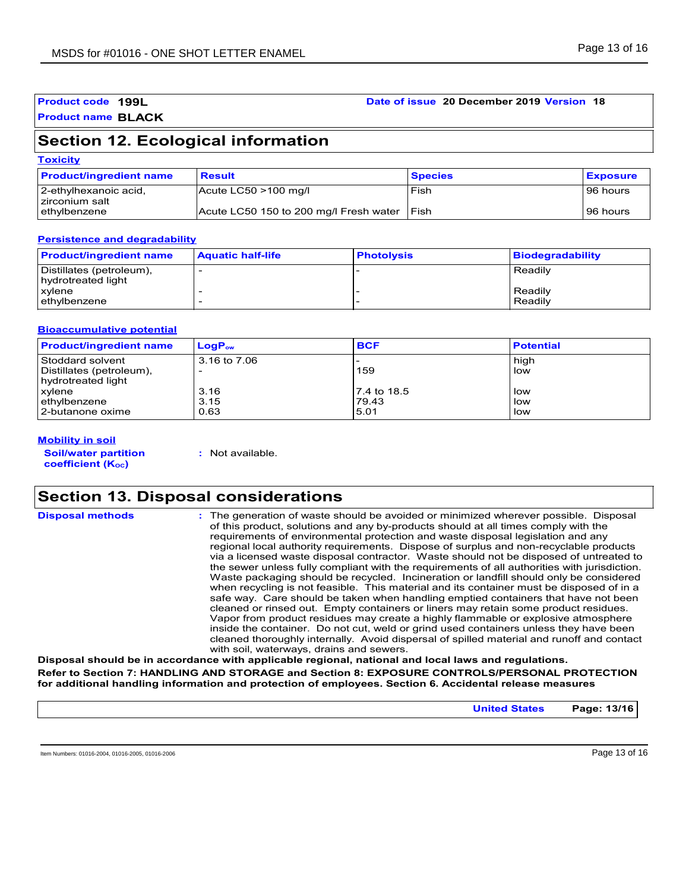#### **Product code 199L Date of issue 20 December 2019 Version 18**

#### **Product name BLACK**

### **Section 12. Ecological information**

| <b>Toxicity</b> |
|-----------------|
|-----------------|

| <b>Product/ingredient name</b>            | <b>Result</b>                          | <b>Species</b> | <b>Exposure</b> |
|-------------------------------------------|----------------------------------------|----------------|-----------------|
| 2-ethylhexanoic acid,<br>I zirconium salt | Acute $LC50 > 100$ mg/l                | Fish           | 96 hours        |
| ethylbenzene                              | Acute LC50 150 to 200 mg/l Fresh water | l Fish         | 96 hours        |

#### **Persistence and degradability**

| <b>Product/ingredient name</b>                 | <b>Aquatic half-life</b> | <b>Photolysis</b> | Biodegradability   |
|------------------------------------------------|--------------------------|-------------------|--------------------|
| Distillates (petroleum),<br>hydrotreated light |                          |                   | Readily            |
| xvlene<br>ethylbenzene                         |                          |                   | Readily<br>Readily |

#### **Bioaccumulative potential**

| <b>Product/ingredient name</b> | $LogP_{ow}$  | <b>BCF</b>  | <b>Potential</b> |
|--------------------------------|--------------|-------------|------------------|
| Stoddard solvent               | 3.16 to 7.06 |             | high             |
| Distillates (petroleum),       |              | 159         | low              |
| hydrotreated light             |              |             |                  |
| xylene                         | 3.16         | 7.4 to 18.5 | low              |
| ethylbenzene                   | 3.15         | 79.43       | low              |
| l 2-butanone oxime             | 0.63         | 5.01        | low              |

#### **Mobility in soil**

**Soil/water partition coefficient (KOC)**

**:** Not available.

### **Section 13. Disposal considerations**

| <b>Disposal methods</b> | : The generation of waste should be avoided or minimized wherever possible. Disposal<br>of this product, solutions and any by-products should at all times comply with the<br>requirements of environmental protection and waste disposal legislation and any<br>regional local authority requirements. Dispose of surplus and non-recyclable products<br>via a licensed waste disposal contractor. Waste should not be disposed of untreated to<br>the sewer unless fully compliant with the requirements of all authorities with jurisdiction.<br>Waste packaging should be recycled. Incineration or landfill should only be considered<br>when recycling is not feasible. This material and its container must be disposed of in a<br>safe way. Care should be taken when handling emptied containers that have not been<br>cleaned or rinsed out. Empty containers or liners may retain some product residues.<br>Vapor from product residues may create a highly flammable or explosive atmosphere<br>inside the container. Do not cut, weld or grind used containers unless they have been |
|-------------------------|---------------------------------------------------------------------------------------------------------------------------------------------------------------------------------------------------------------------------------------------------------------------------------------------------------------------------------------------------------------------------------------------------------------------------------------------------------------------------------------------------------------------------------------------------------------------------------------------------------------------------------------------------------------------------------------------------------------------------------------------------------------------------------------------------------------------------------------------------------------------------------------------------------------------------------------------------------------------------------------------------------------------------------------------------------------------------------------------------|
|                         | cleaned thoroughly internally. Avoid dispersal of spilled material and runoff and contact<br>with soil, waterways, drains and sewers.                                                                                                                                                                                                                                                                                                                                                                                                                                                                                                                                                                                                                                                                                                                                                                                                                                                                                                                                                             |

**Disposal should be in accordance with applicable regional, national and local laws and regulations. Refer to Section 7: HANDLING AND STORAGE and Section 8: EXPOSURE CONTROLS/PERSONAL PROTECTION for additional handling information and protection of employees. Section 6. Accidental release measures**

**United States Page: 13/16**

Item Numbers: 01016-2004, 01016-2005, 01016-2006 **Page 13 of 16**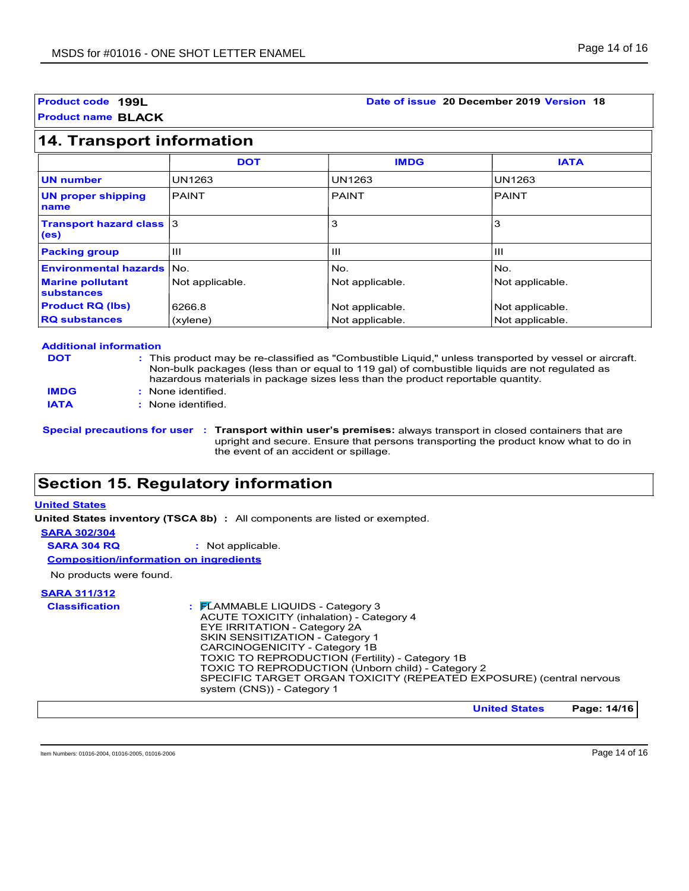#### **Product code 199L Date of issue 20 December 2019 Version 18**

**Product name BLACK**

### **14. Transport information**

|                                                      | <b>DOT</b>      | <b>IMDG</b>     | <b>IATA</b>     |
|------------------------------------------------------|-----------------|-----------------|-----------------|
| <b>UN number</b>                                     | <b>UN1263</b>   | <b>UN1263</b>   | <b>UN1263</b>   |
| <b>UN proper shipping</b><br>name                    | <b>PAINT</b>    | <b>PAINT</b>    | PAINT           |
| <b>Transport hazard class 3</b><br>(e <sub>s</sub> ) |                 | 3               | 3               |
| <b>Packing group</b>                                 | Ш               | $\mathbf{H}$    | Ш               |
| <b>Environmental hazards No.</b>                     |                 | No.             | No.             |
| <b>Marine pollutant</b><br>substances                | Not applicable. | Not applicable. | Not applicable. |
| <b>Product RQ (lbs)</b>                              | 6266.8          | Not applicable. | Not applicable. |
| <b>RQ substances</b>                                 | (xylene)        | Not applicable. | Not applicable. |

#### **Additional information**

| <b>DOT</b> |  |  |
|------------|--|--|
|            |  |  |

| : This product may be re-classified as "Combustible Liquid," unless transported by vessel or aircraft. |
|--------------------------------------------------------------------------------------------------------|
| Non-bulk packages (less than or equal to 119 gal) of combustible liquids are not regulated as          |
| hazardous materials in package sizes less than the product reportable quantity.                        |
|                                                                                                        |

None identified. **: IMDG**

**IATA :** None identified.

**Special precautions for user Transport within user's premises:** always transport in closed containers that are **:** upright and secure. Ensure that persons transporting the product know what to do in the event of an accident or spillage.

### **Section 15. Regulatory information**

#### **United States**

**United States inventory (TSCA 8b) :** All components are listed or exempted.

#### **SARA 302/304**

**SARA 304 RQ :** Not applicable.

**Composition/information on ingredients**

No products were found.

### **SARA 311/312**

| <b>Classification</b> | $\frac{1}{2}$ $\mathsf{F}$ LAMMABLE LIQUIDS - Category 3<br><b>ACUTE TOXICITY (inhalation) - Category 4</b><br>EYE IRRITATION - Category 2A<br>SKIN SENSITIZATION - Category 1<br>CARCINOGENICITY - Category 1B<br>TOXIC TO REPRODUCTION (Fertility) - Category 1B<br>TOXIC TO REPRODUCTION (Unborn child) - Category 2<br>SPECIFIC TARGET ORGAN TOXICITY (REPEATED EXPOSURE) (central nervous |
|-----------------------|------------------------------------------------------------------------------------------------------------------------------------------------------------------------------------------------------------------------------------------------------------------------------------------------------------------------------------------------------------------------------------------------|
|                       | system (CNS)) - Category 1                                                                                                                                                                                                                                                                                                                                                                     |

**United States Page: 14/16**

Item Numbers: 01016-2004, 01016-2005, 01016-2006 **Page 14 of 16**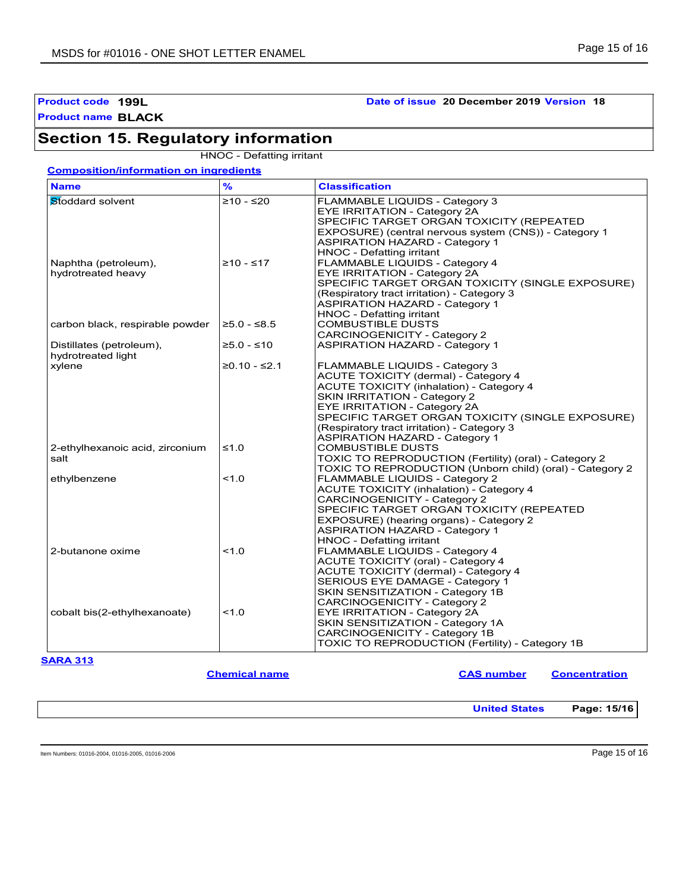### **Product code 199L Date of issue 20 December 2019 Version 18**

### **Section 15. Regulatory information**

HNOC - Defatting irritant

|  |  | <b>Composition/information on ingredients</b> |  |  |
|--|--|-----------------------------------------------|--|--|
|--|--|-----------------------------------------------|--|--|

| <b>Name</b>                     | $\frac{9}{6}$  | <b>Classification</b>                                    |
|---------------------------------|----------------|----------------------------------------------------------|
| Stoddard solvent                | $≥10 - ≤20$    | FLAMMABLE LIQUIDS - Category 3                           |
|                                 |                | <b>EYE IRRITATION - Category 2A</b>                      |
|                                 |                | SPECIFIC TARGET ORGAN TOXICITY (REPEATED                 |
|                                 |                | EXPOSURE) (central nervous system (CNS)) - Category 1    |
|                                 |                | <b>ASPIRATION HAZARD - Category 1</b>                    |
|                                 |                | <b>HNOC - Defatting irritant</b>                         |
| Naphtha (petroleum),            | $≥10 - ≤17$    | FLAMMABLE LIQUIDS - Category 4                           |
| hydrotreated heavy              |                | <b>EYE IRRITATION - Category 2A</b>                      |
|                                 |                | SPECIFIC TARGET ORGAN TOXICITY (SINGLE EXPOSURE)         |
|                                 |                | (Respiratory tract irritation) - Category 3              |
|                                 |                | <b>ASPIRATION HAZARD - Category 1</b>                    |
|                                 |                | <b>HNOC - Defatting irritant</b>                         |
| carbon black, respirable powder | $≥5.0 - ≤8.5$  | COMBUSTIBLE DUSTS                                        |
|                                 |                | CARCINOGENICITY - Category 2                             |
| Distillates (petroleum),        | $≥5.0 - ≤10$   | <b>ASPIRATION HAZARD - Category 1</b>                    |
| hydrotreated light              |                |                                                          |
| xylene                          | $≥0.10 - ≤2.1$ | FLAMMABLE LIQUIDS - Category 3                           |
|                                 |                |                                                          |
|                                 |                | <b>ACUTE TOXICITY (dermal) - Category 4</b>              |
|                                 |                | <b>ACUTE TOXICITY (inhalation) - Category 4</b>          |
|                                 |                | <b>SKIN IRRITATION - Category 2</b>                      |
|                                 |                | <b>EYE IRRITATION - Category 2A</b>                      |
|                                 |                | SPECIFIC TARGET ORGAN TOXICITY (SINGLE EXPOSURE)         |
|                                 |                | (Respiratory tract irritation) - Category 3              |
|                                 |                | <b>ASPIRATION HAZARD - Category 1</b>                    |
| 2-ethylhexanoic acid, zirconium | $\leq 1.0$     | <b>COMBUSTIBLE DUSTS</b>                                 |
| salt                            |                | TOXIC TO REPRODUCTION (Fertility) (oral) - Category 2    |
|                                 |                | TOXIC TO REPRODUCTION (Unborn child) (oral) - Category 2 |
| ethylbenzene                    | 1.0            | FLAMMABLE LIQUIDS - Category 2                           |
|                                 |                | <b>ACUTE TOXICITY (inhalation) - Category 4</b>          |
|                                 |                | CARCINOGENICITY - Category 2                             |
|                                 |                | SPECIFIC TARGET ORGAN TOXICITY (REPEATED                 |
|                                 |                | EXPOSURE) (hearing organs) - Category 2                  |
|                                 |                | <b>ASPIRATION HAZARD - Category 1</b>                    |
|                                 |                | HNOC - Defatting irritant                                |
| 2-butanone oxime                | 1.0            | FLAMMABLE LIQUIDS - Category 4                           |
|                                 |                | ACUTE TOXICITY (oral) - Category 4                       |
|                                 |                | ACUTE TOXICITY (dermal) - Category 4                     |
|                                 |                | SERIOUS EYE DAMAGE - Category 1                          |
|                                 |                | SKIN SENSITIZATION - Category 1B                         |
|                                 |                | CARCINOGENICITY - Category 2                             |
| cobalt bis(2-ethylhexanoate)    | 1.0            | EYE IRRITATION - Category 2A                             |
|                                 |                | SKIN SENSITIZATION - Category 1A                         |
|                                 |                | CARCINOGENICITY - Category 1B                            |
|                                 |                | TOXIC TO REPRODUCTION (Fertility) - Category 1B          |
|                                 |                |                                                          |

**Chemical name CAS number CONS CONS CONS CONS CONS CONS CONS CONS CONS** 

**United States Page: 15/16**